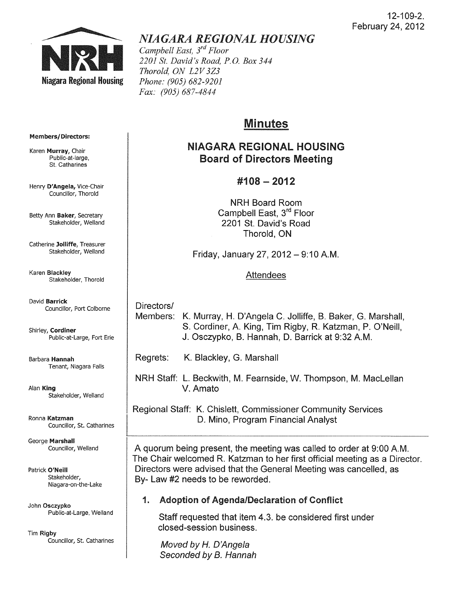

# *NIAGARA REGIONAL HOUSING*

*Campbell East, 3 rd Floor 2201 St. David's Road, P.G. Box 344 Thorold, ON L2V 3Z3 Phone: (905) 682-9201 Fax: (905) 687-4844* 

# Minutes

## NIAGARA REGIONAL HOUSING Board of Directors Meeting

### #108 - 2012

NRH Board Room Campbell East, 3rd Floor 2201 St. David's Road Thorold, ON

Friday, January 27, 2012 - 9:10 A.M.

#### Attendees

Directors/

Members: K. Murray, H. D'Angela C. Jolliffe, B. Baker, G. Marshall, S. Cordiner, A King, Tim Rigby, R. Katzman, P. O'Neill, J. Osczypko, B. Hannah, D. Barrick at 9:32 AM.

Regrets: K. Blackley, G. Marshall

NRH Staff: L. Beckwith, M. Fearnside, W. Thompson, M. Maclellan V. Amato

Regional Staff: K. Chislett, Commissioner Community Services D. Mino, Program Financial Analyst

A quorum being present, the meeting was called to order at 9:00 A.M. The Chair welcomed R. Katzman to her first official meeting as a Director. Directors were advised that the General Meeting was cancelled, as By- law #2 needs to be reworded.

### 1. Adoption of Agenda/Declaration of Conflict

Staff requested that item 4.3. be considered first under closed-session business.

Moved by *H.* O'Ange/a Seconded by B. Hannah

#### Members/Directors:

Karen Murray, Chair Public-at-Iarge, St. Catharines

Henry D'Angela, Vice-Chair Councillor, Thorold

Betty Ann Baker, Secretary Stakeholder, Weiland

Catherine Jolliffe, Treasurer Stakeholder, Weiland

Karen Blackley Stakeholder, Thorold

David Barrick Councillor, Port Colborne

Shirley, Cordiner Public-at-Large, Fort Erie

Barbara Hannah Tenant, Niagara Falls

Alan King Stakeholder, Weiland

Ronna Katzman Councillor, St. Catharines

George Marshall Councillor, Weiland

Patrick O'Neill Stakeholder, Niagara-on-the-Lake

John Osczypko Public-at-Large, Weiland

Tim Rigby Councillor, St. Catharines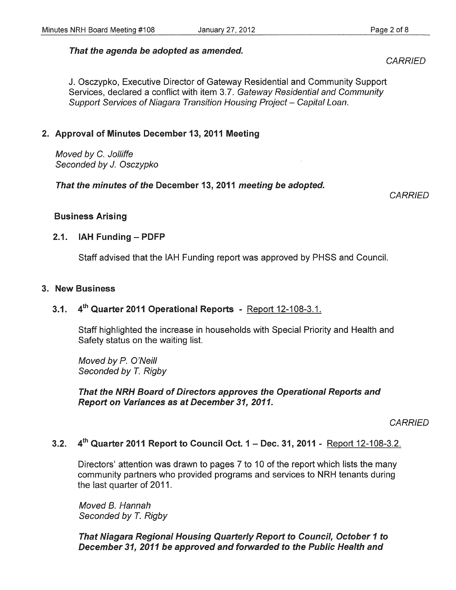#### That the agenda be adopted as amended.

J. Osczypko, Executive Director of Gateway Residential and Community Support Services, declared a conflict with item 3.7. Gateway Residential and Community Support Services of Niagara Transition Housing Project - Capital Loan.

#### 2. Approval of Minutes December 13, 2011 Meeting

Moved by C. Jolliffe Seconded by J. Osczypko

That the minutes of the December 13, 2011 meeting be adopted.

**CARRIED** 

#### Business Arising

#### 2.1. IAH Funding - PDFP

Staff advised that the IAH Funding report was approved by PHSS and Council.

#### 3. New Business

### 3.1. 4<sup>th</sup> Quarter 2011 Operational Reports - Report 12-108-3.1.

Staff highlighted the increase in households with Special Priority and Health and Safety status on the waiting list.

Moved by P. O'Neill Seconded by *T.* Rigby

That the NRH Board of Directors approves the Operational Reports and Report on Variances as at December 31, 2011.

**CARRIED** 

## 3.2. 4<sup>th</sup> Quarter 2011 Report to Council Oct. 1 - Dec. 31, 2011 - Report 12-108-3.2.

Directors' attention was drawn to pages 7 to 10 of the report which lists the many community partners who provided programs and services to NRH tenants during the last quarter of 2011.

Moved B. Hannah Seconded by *T.* Rigby

That Niagara Regional Housing Quarterly Report to Council, October 1 to December 31, 2011 be approved and forwarded to the Public Health and

**CARRIED**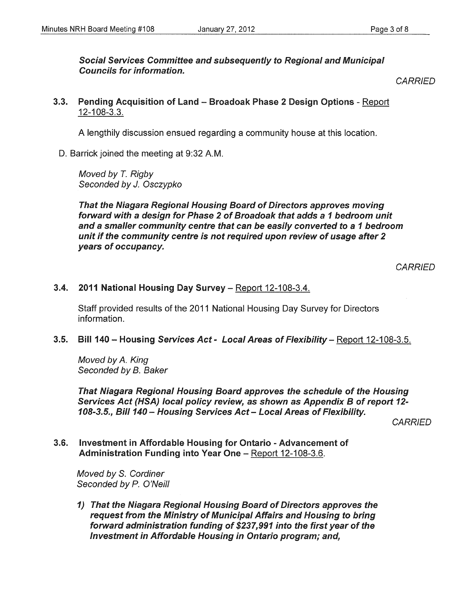Social Services Committee and subsequently to Regional and Municipal Councils for information.

CARRIED

3.3. Pending Acquisition of Land - Broadoak Phase 2 Design Options - Report 12-108-3.3.

A lengthily discussion ensued regarding a community house at this location.

D. Barrick joined the meeting at 9:32 A.M.

Moved by *T.* Rigby Seconded by J. Osczypko

That the Niagara Regional Housing Board of Directors approves moving forward with a design for Phase 2 of Broadoak that adds a 1 bedroom unit and a smaller community centre that can be easily converted to a 1 bedroom unit if the community centre is not required upon review of usage after 2 years of occupancy.

**CARRIED** 

### 3.4. 2011 National Housing Day Survey - Report 12-108-3.4.

Staff provided results of the 2011 National Housing Day Survey for Directors information.

#### 3.5. Bill 140 - Housing Services Act - Local Areas of Flexibility - Report 12-108-3.5.

Moved by A. King Seconded by B. Baker

That Niagara Regional Housing Board approves the schedule of the Housing Services Act (HSA) local policy review, as shown as Appendix B of report 12- *108-3.5.,* Bill *140* - Housing Services Act - Local Areas of Flexibility.

**CARRIED** 

3.6. Investment in Affordable Housing for Ontario - Advancement of Administration Funding into Year One - Report 12-108-3.6.

Moved by S. Cordiner Seconded by P. O'Neill

1) That the Niagara Regional Housing Board of Directors approves the request from the Ministry of Municipal Affairs and Housing to bring forward administration funding of \$237,991 into the first year of the Investment in Affordable Housing in Ontario program; and,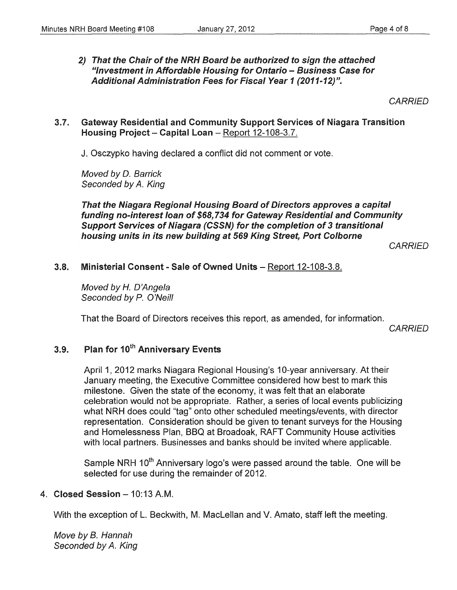2) That the Chair of the NRH Board be authorized to sign the attached "Investment in Affordable Housing for Ontario - Business Case for Additional Administration Fees for Fiscal Year 1 (2011-12)".

**CARRIED** 

#### 3.7. Gateway Residential and Community Support Services of Niagara Transition Housing Project - Capital Loan - Report 12-108-3.7.

J. Osczypko having declared a conflict did not comment or vote.

Moved by D. Barrick Seconded by *A.* King

That the Niagara Regional Housing Board of Directors approves a capital funding no-interest loan of \$68, 734 for Gateway Residential and Community Support Services of Niagara (CSSN) for the completion of 3 transitional housing units in its new building at 569 King Street, Port Colborne

**CARRIED** 

#### 3.8. Ministerial Consent - Sale of Owned Units - Report 12-108-3.8.

Moved by H. D'Angela Seconded by P. O'Neill

That the Board of Directors receives this report, as amended, for information.

**CARRIED** 

## 3.9. Plan for 10<sup>th</sup> Anniversary Events

April 1, 2012 marks Niagara Regional Housing's 10-year anniversary. At their January meeting, the Executive Committee considered how best to mark this milestone. Given the state of the economy, it was felt that an elaborate celebration would not be appropriate. Rather, a series of local events publicizing what NRH does could "tag" onto other scheduled meetings/events, with director representation. Consideration should be given to tenant surveys for the Housing and Homelessness Plan, BBQ at Broadoak, RAFT Community House activities with local partners. Businesses and banks should be invited where applicable.

Sample NRH 10<sup>th</sup> Anniversary logo's were passed around the table. One will be selected for use during the remainder of 2012.

#### 4. Closed Session  $-10:13$  A.M.

With the exception of L. Beckwith, M. Maclellan and V. Amato, staff left the meeting.

Move by B. Hannah Seconded by *A.* King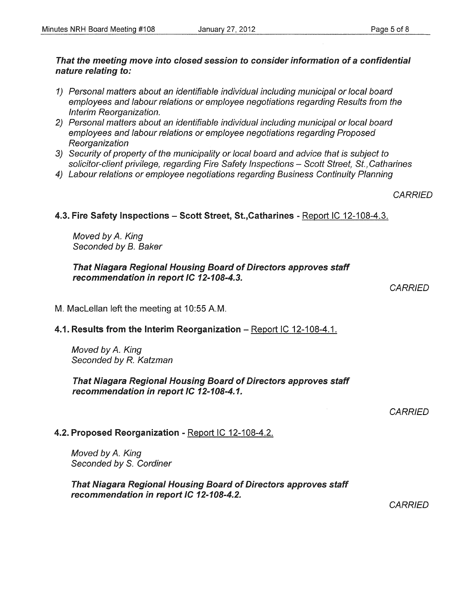#### That the meeting move into closed session to consider information of a confidential nature relating to:

- 1) Personal matters about an identifiable individual including municipal or local board employees and labour relations or employee negotiations regarding Results from the Interim Reorganization.
- 2) Personal matters about an identifiable individual including municipal or local board employees and labour relations or employee negotiations regarding Proposed Reorganization
- 3) Security of property of the municipality or local board and advice that is subject to solicitor-client privilege, regarding Fire Safety Inspections - Scott Street, St., Catharines
- 4) Labour relations or employee negotiations regarding Business Continuity Planning

**CARRIED** 

#### 4.3. Fire Safety Inspections - Scott Street, St., Catharines - Report IC 12-108-4.3.

Moved by A. King Seconded by B. Baker

#### That Niagara Regional Housing Board of Directors approves staff recommendation in report IC 12-108-4.3.

**CARRIED** 

M. MacLellan left the meeting at 10:55 A.M.

#### 4.1. Results from the Interim Reorganization  $-$  Report IC 12-108-4.1.

Moved by A. King Seconded by R. Katzman

That Niagara Regional Housing Board of Directors approves staff recommendation in report IC 12-108-4.1.

**CARRIED** 

#### 4.2. Proposed Reorganization - Report IC 12-108-4.2.

Moved by A. King Seconded by S. Cordiner

That Niagara Regional Housing Board of Directors approves staff recommendation in report IC 12-108-4.2.

**CARRIED**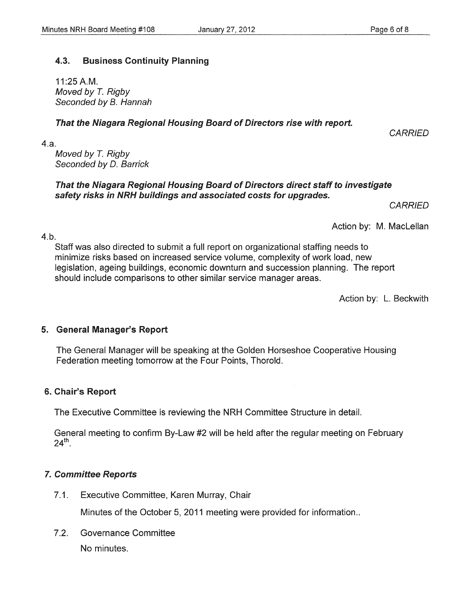## 4.3. Business Continuity Planning

11 :25 A.M. Moved by *T.* Rigby Seconded by B. Hannah

### That the Niagara Regional Housing Board of Directors rise with report.

**CARRIED** 

4.a.

Moved by *T.* Rigby Seconded by D. Barrick

#### That the Niagara Regional Housing Board of Directors direct staff to investigate safety risks in NRH buildings and associated costs for upgrades.

**CARRIED** 

Action by: M. Maclellan

4.b.

Staff was also directed to submit a full report on organizational staffing needs to minimize risks based on increased service volume, complexity of work load, new legislation, ageing buildings, economic downturn and succession planning. The report should include comparisons to other similar service manager areas.

Action by: L. Beckwith

### 5. General Manager's Report

The General Manager will be speaking at the Golden Horseshoe Cooperative Housing Federation meeting tomorrow at the Four Points, Thorold.

### 6. Chair's Report

The Executive Committee is reviewing the NRH Committee Structure in detail.

General meeting to confirm By-law #2 will be held after the regular meeting on February  $24^{\text{th}}$ .

### 7. Committee Reports

7.1. Executive Committee, Karen Murray, Chair

Minutes of the October 5, 2011 meeting were provided for information..

7.2. Governance Committee

No minutes.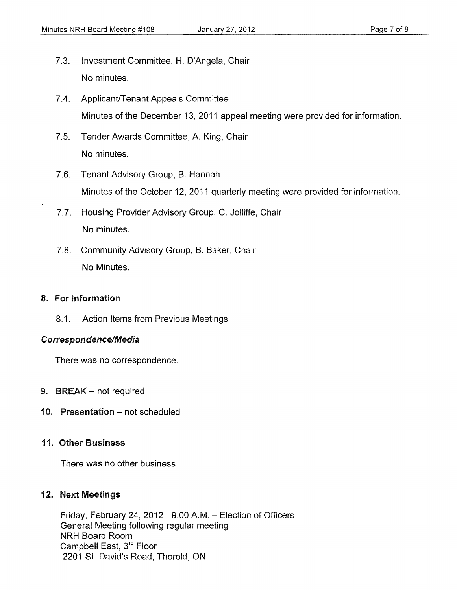- 7.3. Investment Committee, H. D'Angela, Chair No minutes.
- 7.4. Applicant/Tenant Appeals Committee Minutes of the December 13, 2011 appeal meeting were provided for information.
- 7.5. Tender Awards Committee, A. King, Chair No minutes.
- 7.6. Tenant Advisory Group, B. Hannah Minutes of the October 12, 2011 quarterly meeting were provided for information.
- 7.7. Housing Provider Advisory Group, C. Jolliffe, Chair No minutes.
- 7.8. Community Advisory Group, B. Baker, Chair No Minutes.

#### 8. For Information

8.1. Action Items from Previous Meetings

#### *Correspondence/Medfu*

There was no correspondence.

- 9. BREAK not required
- 10. Presentation not scheduled

#### 11. Other Business

There was no other business

#### 12. Next Meetings

Friday, February 24, 2012 - 9:00 A.M. - Election of Officers General Meeting following regular meeting NRH Board Room Campbell East, 3<sup>rd</sup> Floor 2201 St. David's Road, Thorold, ON